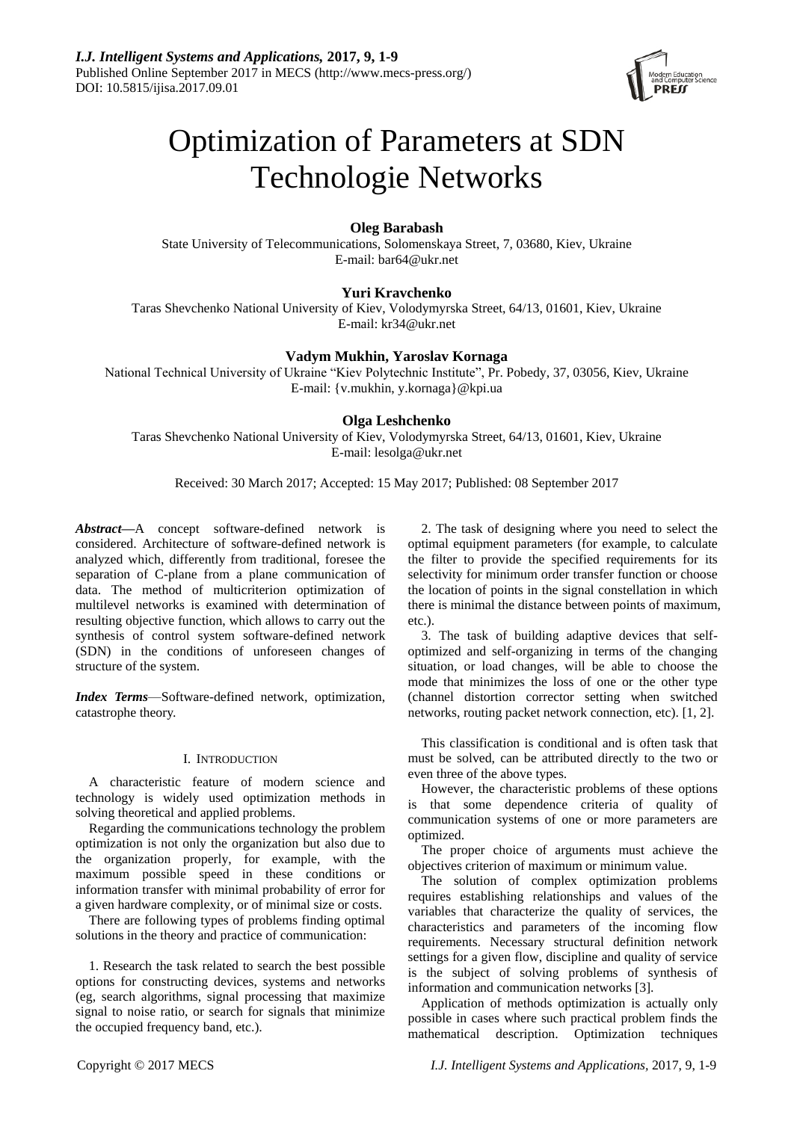

# Optimization of Parameters at SDN Technologie Networks

# **Oleg Barabash**

State University of Telecommunications, Solomenskaya Street, 7, 03680, Kiev, Ukraine E-mail: [bar64@ukr.net](mailto:bar64@ukr.net)

# **Yuri Kravchenko**

Taras Shevchenko National University of Kiev, Volodymyrska Street, 64/13, 01601, Kiev, Ukraine E-mail: [kr34@ukr.net](mailto:kr34@ukr.net)

## **Vadym Mukhin, Yaroslav Kornaga**

National Technical University of Ukraine "Kiev Polytechnic Institute", Pr. Pobedy, 37, 03056, Kiev, Ukraine E-mail: [{v.mukhin, y.kornaga}@](mailto:%7Bv.mukhin,%20y.kornaga%7D)kpi.ua

## **Olga Leshchenko**

Taras Shevchenko National University of Kiev, Volodymyrska Street, 64/13, 01601, Kiev, Ukraine E-mail: [lesolga@ukr.net](mailto:lesolga@ukr.net)

Received: 30 March 2017; Accepted: 15 May 2017; Published: 08 September 2017

*Abstract***—**A concept software-defined network is considered. Architecture of software-defined network is analyzed which, differently from traditional, foresee the separation of C-plane from a plane communication of data. The method of multicriterion optimization of multilevel networks is examined with determination of resulting objective function, which allows to carry out the synthesis of control system software-defined network (SDN) in the conditions of unforeseen changes of structure of the system.

*Index Terms*—Software-defined network, optimization, catastrophe theory.

## I. INTRODUCTION

A characteristic feature of modern science and technology is widely used optimization methods in solving theoretical and applied problems.

Regarding the communications technology the problem optimization is not only the organization but also due to the organization properly, for example, with the maximum possible speed in these conditions or information transfer with minimal probability of error for a given hardware complexity, or of minimal size or costs.

There are following types of problems finding optimal solutions in the theory and practice of communication:

1. Research the task related to search the best possible options for constructing devices, systems and networks (eg, search algorithms, signal processing that maximize signal to noise ratio, or search for signals that minimize the occupied frequency band, etc.).

2. The task of designing where you need to select the optimal equipment parameters (for example, to calculate the filter to provide the specified requirements for its selectivity for minimum order transfer function or choose the location of points in the signal constellation in which there is minimal the distance between points of maximum, etc.).

3. The task of building adaptive devices that selfoptimized and self-organizing in terms of the changing situation, or load changes, will be able to choose the mode that minimizes the loss of one or the other type (channel distortion corrector setting when switched networks, routing packet network connection, etc). [1, 2].

This classification is conditional and is often task that must be solved, can be attributed directly to the two or even three of the above types.

However, the characteristic problems of these options is that some dependence criteria of quality of communication systems of one or more parameters are optimized.

The proper choice of arguments must achieve the objectives criterion of maximum or minimum value.

The solution of complex optimization problems requires establishing relationships and values of the variables that characterize the quality of services, the characteristics and parameters of the incoming flow requirements. Necessary structural definition network settings for a given flow, discipline and quality of service is the subject of solving problems of synthesis of information and communication networks [3].

Application of methods optimization is actually only possible in cases where such practical problem finds the mathematical description. Optimization techniques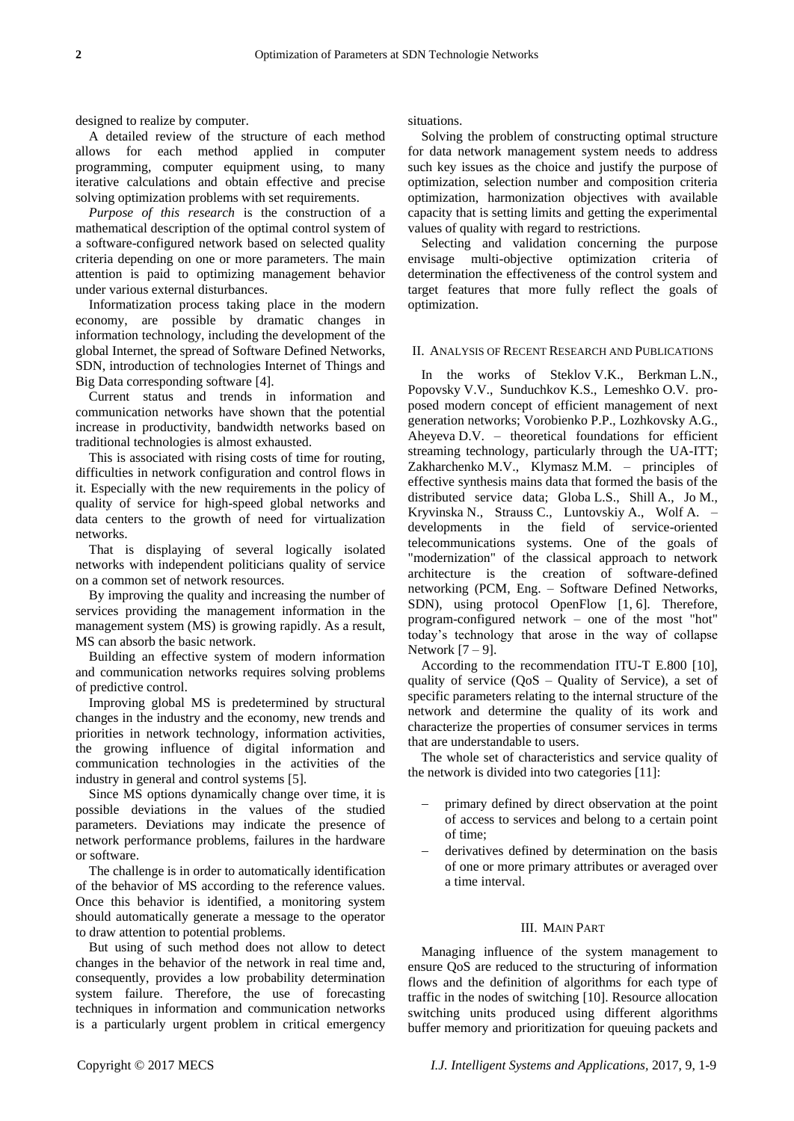designed to realize by computer.

A detailed review of the structure of each method allows for each method applied in computer programming, computer equipment using, to many iterative calculations and obtain effective and precise solving optimization problems with set requirements.

*Purpose of this research* is the construction of a mathematical description of the optimal control system of a software-configured network based on selected quality criteria depending on one or more parameters. The main attention is paid to optimizing management behavior under various external disturbances.

Informatization process taking place in the modern economy, are possible by dramatic changes in information technology, including the development of the global Internet, the spread of Software Defined Networks, SDN, introduction of technologies Internet of Things and Big Data corresponding software [4].

Current status and trends in information and communication networks have shown that the potential increase in productivity, bandwidth networks based on traditional technologies is almost exhausted.

This is associated with rising costs of time for routing, difficulties in network configuration and control flows in it. Especially with the new requirements in the policy of quality of service for high-speed global networks and data centers to the growth of need for virtualization networks.

That is displaying of several logically isolated networks with independent politicians quality of service on a common set of network resources.

By improving the quality and increasing the number of services providing the management information in the management system (MS) is growing rapidly. As a result, MS can absorb the basic network.

Building an effective system of modern information and communication networks requires solving problems of predictive control.

Improving global MS is predetermined by structural changes in the industry and the economy, new trends and priorities in network technology, information activities, the growing influence of digital information and communication technologies in the activities of the industry in general and control systems [5].

Since MS options dynamically change over time, it is possible deviations in the values of the studied parameters. Deviations may indicate the presence of network performance problems, failures in the hardware or software.

The challenge is in order to automatically identification of the behavior of MS according to the reference values. Once this behavior is identified, a monitoring system should automatically generate a message to the operator to draw attention to potential problems.

But using of such method does not allow to detect changes in the behavior of the network in real time and, consequently, provides a low probability determination system failure. Therefore, the use of forecasting techniques in information and communication networks is a particularly urgent problem in critical emergency

situations.

Solving the problem of constructing optimal structure for data network management system needs to address such key issues as the choice and justify the purpose of optimization, selection number and composition criteria optimization, harmonization objectives with available capacity that is setting limits and getting the experimental values of quality with regard to restrictions.

Selecting and validation concerning the purpose envisage multi-objective optimization criteria of determination the effectiveness of the control system and target features that more fully reflect the goals of optimization.

#### II. ANALYSIS OF RECENT RESEARCH AND PUBLICATIONS

In the works of Steklov V.K., Berkman L.N., Popovsky V.V., Sunduchkov K.S., Lemeshko O.V. proposed modern concept of efficient management of next generation networks; Vorobienko P.P., Lozhkovsky A.G., Aheyeva D.V. – theoretical foundations for efficient streaming technology, particularly through the UA-ITT; Zakharchenko M.V., Klymasz M.M. – principles of effective synthesis mains data that formed the basis of the distributed service data; Globa L.S., Shill A., Jo M., Kryvinska N., Strauss C., Luntovskiy A., Wolf A. – developments in the field of service-oriented telecommunications systems. One of the goals of "modernization" of the classical approach to network architecture is the creation of software-defined networking (PCM, Eng. – Software Defined Networks, SDN), using protocol OpenFlow [1, 6]. Therefore, program-configured network – one of the most "hot" today's technology that arose in the way of collapse Network [7 – 9].

According to the recommendation ITU-T E.800 [10], quality of service (QoS – Quality of Service), a set of specific parameters relating to the internal structure of the network and determine the quality of its work and characterize the properties of consumer services in terms that are understandable to users.

The whole set of characteristics and service quality of the network is divided into two categories [11]:

- primary defined by direct observation at the point of access to services and belong to a certain point of time;
- derivatives defined by determination on the basis of one or more primary attributes or averaged over a time interval.

## III. MAIN PART

Managing influence of the system management to ensure QoS are reduced to the structuring of information flows and the definition of algorithms for each type of traffic in the nodes of switching [10]. Resource allocation switching units produced using different algorithms buffer memory and prioritization for queuing packets and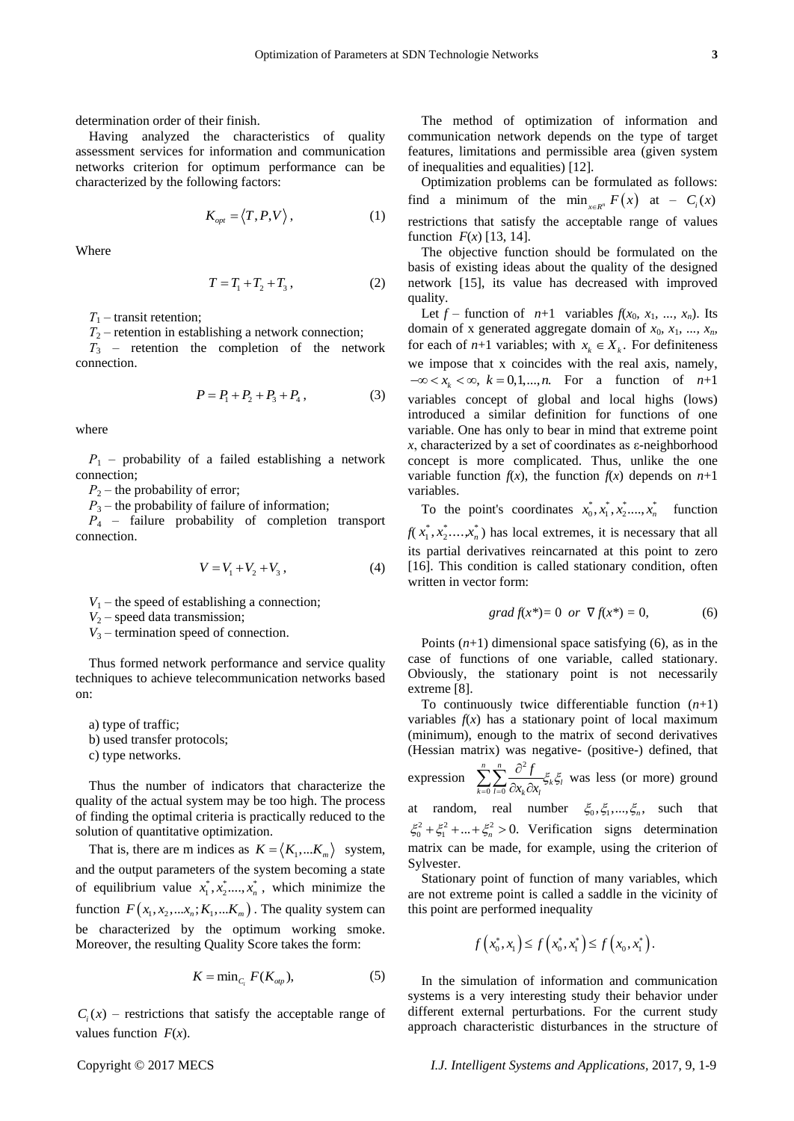determination order of their finish.

Having analyzed the characteristics of quality assessment services for information and communication networks criterion for optimum performance can be characterized by the following factors:

$$
K_{opt} = \langle T, P, V \rangle, \tag{1}
$$

Where

$$
T = T_1 + T_2 + T_3, \t\t(2)
$$

*Т*<sup>1</sup> *–* transit retention;

 $T_2$  – retention in establishing a network connection;

*Т*<sup>3</sup> *–* retention the completion of the network connection.

$$
P = P_1 + P_2 + P_3 + P_4, \tag{3}
$$

where

*Р*<sup>1</sup> *–* probability of a failed establishing a network connection;

 $P_2$  – the probability of error;

*P*<sub>3</sub> – the probability of failure of information;

*Р*<sup>4</sup> *–* failure probability of completion transport connection.

$$
V = V_1 + V_2 + V_3, \tag{4}
$$

 $V_1$  – the speed of establishing a connection;

*V*<sup>2</sup> *–* speed data transmission;

*V*<sup>3</sup> *–* termination speed of connection.

Thus formed network performance and service quality techniques to achieve telecommunication networks based on:

a) type of traffic;

b) used transfer protocols;

c) type networks.

Thus the number of indicators that characterize the quality of the actual system may be too high. The process of finding the optimal criteria is practically reduced to the solution of quantitative optimization.

That is, there are m indices as  $K = \langle K_1,...K_m \rangle$  system, and the output parameters of the system becoming a state of equilibrium value  $x_1^*, x_2^*,..., x_n^*$ , which minimize the function  $F(x_1, x_2,...x_n; K_1,...K_m)$ . The quality system can be characterized by the optimum working smoke. Moreover, the resulting Quality Score takes the form:

$$
K = \min_{C_i} F(K_{\text{op}}), \tag{5}
$$

 $C<sub>i</sub>(x)$  – restrictions that satisfy the acceptable range of values function *F*(*x*).

The method of optimization of information and communication network depends on the type of target features, limitations and permissible area (given system of inequalities and equalities) [12].

Optimization problems can be formulated as follows: find a minimum of the min<sub> $x \in R^n$ </sub>  $F(x)$  at  $-G_i(x)$ restrictions that satisfy the acceptable range of values function  $F(x)$  [13, 14].

The objective function should be formulated on the basis of existing ideas about the quality of the designed network [15], its value has decreased with improved quality.

Let  $f$  – function of  $n+1$  variables  $f(x_0, x_1, ..., x_n)$ . Its domain of x generated aggregate domain of  $x_0$ ,  $x_1$ , ...,  $x_n$ for each of  $n+1$  variables; with  $x_k \in X_k$ . For definiteness we impose that x coincides with the real axis, namely,  $-\infty < x_k < \infty$ ,  $k = 0,1,...,n$ . For a function of  $n+1$ variables concept of global and local highs (lows) introduced a similar definition for functions of one variable. One has only to bear in mind that extreme point  $x$ , characterized by a set of coordinates as  $\varepsilon$ -neighborhood concept is more complicated. Thus, unlike the one variable function  $f(x)$ , the function  $f(x)$  depends on  $n+1$ variables.

To the point's coordinates  $x_0^*, x_1^*, x_2^*,..., x_n^*$  function  $f(x_1^*, x_2^*, \ldots, x_n^*)$  has local extremes, it is necessary that all its partial derivatives reincarnated at this point to zero [16]. This condition is called stationary condition, often written in vector form:

$$
grad f(x^*) = 0 \text{ or } \nabla f(x^*) = 0,
$$
 (6)

Points  $(n+1)$  dimensional space satisfying  $(6)$ , as in the case of functions of one variable, called stationary. Obviously, the stationary point is not necessarily extreme [8].

To continuously twice differentiable function  $(n+1)$ variables  $f(x)$  has a stationary point of local maximum (minimum), enough to the matrix of second derivatives (Hessian matrix) was negative- (positive-) defined, that

expression  $\sum_{n=1}^n \frac{\partial^2}{\partial n^2}$  $0 l = 0$ *n n*  $\sum_{k=0}$  *l* = 0  $\partial x_k \partial x_l$ <sup>5k5l</sup> *f*  $\overline{=}$   $\overline{=}$   $\overline{}$   $\partial x$   $\partial x$  $\sum_{k=0}^{n} \sum_{l=0}^{n} \frac{\partial^2 f}{\partial x_k \partial x_l} \xi_k \xi_l$  was less (or more) ground at random, real number  $\xi_0, \xi_1, ..., \xi_n$ , such that  $\xi_0^2 + \xi_1^2 + ... + \xi_n^2 > 0$ . Verification signs determination matrix can be made, for example, using the criterion of Sylvester.

Stationary point of function of many variables, which are not extreme point is called a saddle in the vicinity of this point are performed inequality

$$
f(x_0^*, x_1) \le f(x_0^*, x_1^*) \le f(x_0, x_1^*).
$$

In the simulation of information and communication systems is a very interesting study their behavior under different external perturbations. For the current study approach characteristic disturbances in the structure of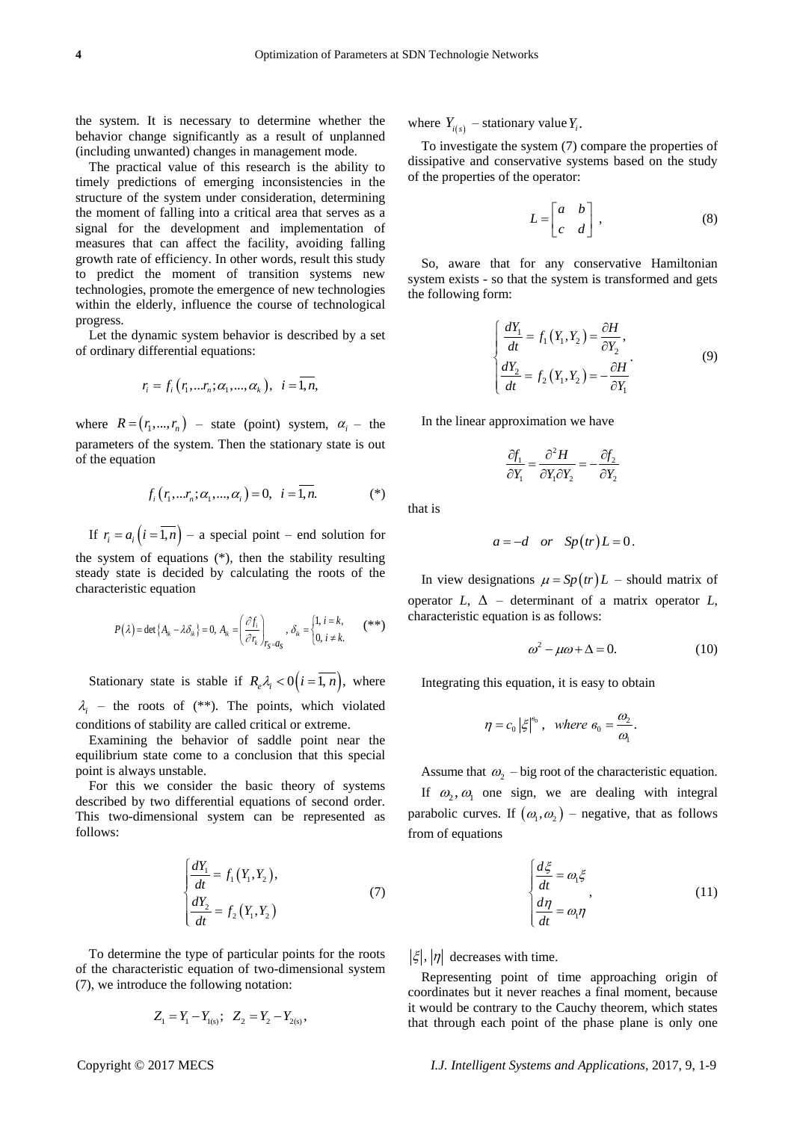the system. It is necessary to determine whether the behavior change significantly as a result of unplanned (including unwanted) changes in management mode.

The practical value of this research is the ability to timely predictions of emerging inconsistencies in the structure of the system under consideration, determining the moment of falling into a critical area that serves as a signal for the development and implementation of measures that can affect the facility, avoiding falling growth rate of efficiency. In other words, result this study to predict the moment of transition systems new technologies, promote the emergence of new technologies within the elderly, influence the course of technological progress.

Let the dynamic system behavior is described by a set of ordinary differential equations:

$$
r_i = f_i(r_1, ... r_n; \alpha_1, ..., \alpha_k), i = \overline{1, n},
$$

where  $R = (r_1, ..., r_n)$  – state (point) system,  $\alpha_i$  – the parameters of the system. Then the stationary state is out of the equation

$$
f_i(r_1,...r_n;\alpha_1,...,\alpha_i)=0, i=\overline{1,n}.
$$
 (\*)

If  $r_i = a_i (i = 1, n) - a$  special point – end solution for the system of equations (\*), then the stability resulting steady state is decided by calculating the roots of the characteristic equation

$$
P(\lambda) = \det\{A_{ik} - \lambda \delta_{ik}\} = 0, A_{ik} = \left(\frac{\partial f_i}{\partial r_k}\right)_{r_S = a_S}, \delta_{ik} = \begin{cases} 1, i = k, \\ 0, i \neq k. \end{cases} (*)
$$

Stationary state is stable if  $R_e \lambda_i < 0 (i = 1, n)$ , where  $\lambda_i$  – the roots of (\*\*). The points, which violated conditions of stability are called critical or extreme.

Examining the behavior of saddle point near the equilibrium state come to a conclusion that this special point is always unstable.

For this we consider the basic theory of systems described by two differential equations of second order. This two-dimensional system can be represented as follows:

$$
\begin{cases}\n\frac{dY_1}{dt} = f_1(Y_1, Y_2), \\
\frac{dY_2}{dt} = f_2(Y_1, Y_2)\n\end{cases} (7)
$$

To determine the type of particular points for the roots of the characteristic equation of two-dimensional system (7), we introduce the following notation:

$$
Z_1 = Y_1 - Y_{1(s)}; \quad Z_2 = Y_2 - Y_{2(s)},
$$

where  $Y_{i(s)}$  – stationary value  $Y_i$ .

To investigate the system (7) compare the properties of dissipative and conservative systems based on the study of the properties of the operator:

$$
L = \begin{bmatrix} a & b \\ c & d \end{bmatrix}, \tag{8}
$$

So, aware that for any conservative Hamiltonian system exists - so that the system is transformed and gets the following form:

$$
\begin{cases}\n\frac{dY_1}{dt} = f_1(Y_1, Y_2) = \frac{\partial H}{\partial Y_2},\\
\frac{dY_2}{dt} = f_2(Y_1, Y_2) = -\frac{\partial H}{\partial Y_1}.\n\end{cases} \tag{9}
$$

In the linear approximation we have

$$
\frac{\partial f_1}{\partial Y_1} = \frac{\partial^2 H}{\partial Y_1 \partial Y_2} = -\frac{\partial f_2}{\partial Y_2}
$$

that is

$$
a = -d \quad or \quad Sp(tr)L = 0.
$$

In view designations  $\mu = Sp(tr)L$  – should matrix of operator  $L$ ,  $\Delta$  – determinant of a matrix operator  $L$ , characteristic equation is as follows:

$$
\omega^2 - \mu \omega + \Delta = 0. \tag{10}
$$

Integrating this equation, it is easy to obtain

$$
\eta = c_0 \left| \xi \right|^{e_0}, \text{ where } e_0 = \frac{\omega_2}{\omega_1}.
$$

Assume that  $\omega_2$  – big root of the characteristic equation.

If  $\omega_2$ ,  $\omega_1$  one sign, we are dealing with integral parabolic curves. If  $(\omega_1, \omega_2)$  – negative, that as follows from of equations

$$
\begin{cases}\n\frac{d\xi}{dt} = \omega_1 \xi \\
\frac{d\eta}{dt} = \omega_1 \eta\n\end{cases}
$$
\n(11)

 $|\xi|, |\eta|$  decreases with time.

Representing point of time approaching origin of coordinates but it never reaches a final moment, because it would be contrary to the Cauchy theorem, which states that through each point of the phase plane is only one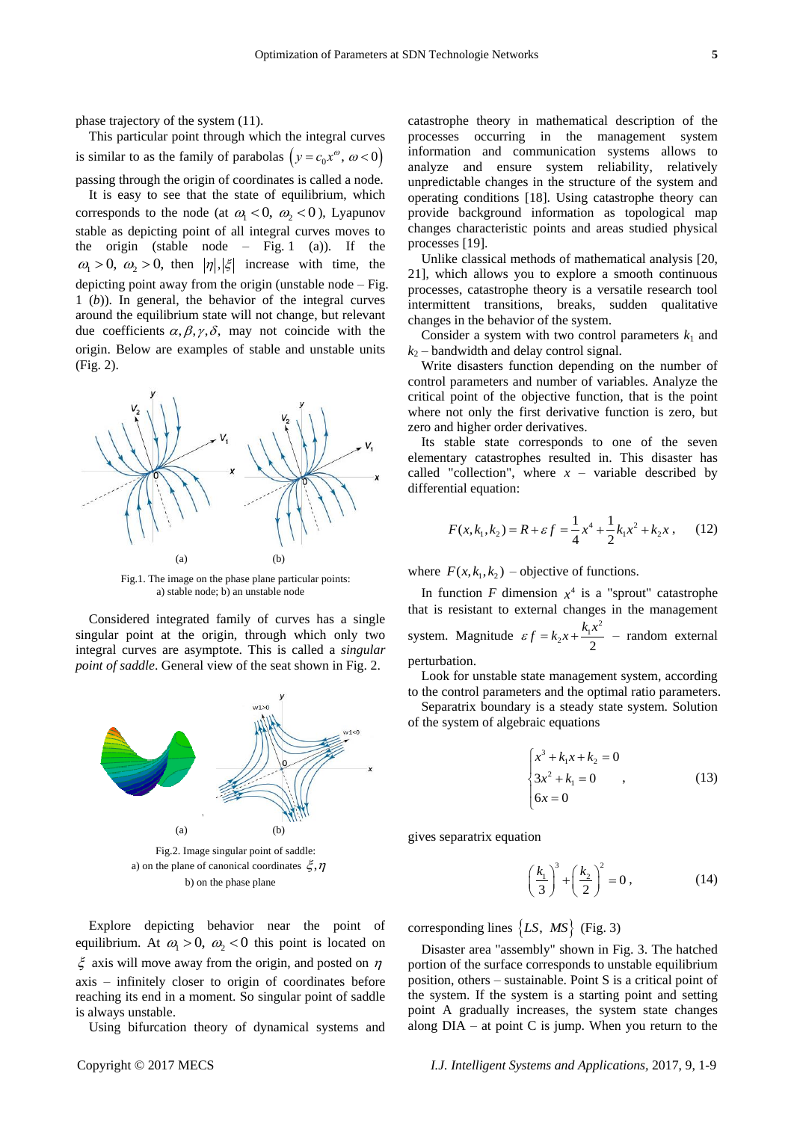phase trajectory of the system (11).

This particular point through which the integral curves is similar to as the family of parabolas  $(y = c_0 x^{\omega}, \omega < 0)$ passing through the origin of coordinates is called a node.

It is easy to see that the state of equilibrium, which corresponds to the node (at  $\omega_1 < 0$ ,  $\omega_2 < 0$ ), Lyapunov stable as depicting point of all integral curves moves to the origin (stable node – Fig. 1 (a)). If the  $\omega_1 > 0$ ,  $\omega_2 > 0$ , then  $|\eta|, |\xi|$  increase with time, the depicting point away from the origin (unstable node  $-$  Fig. 1 (*b*)). In general, the behavior of the integral curves around the equilibrium state will not change, but relevant due coefficients  $\alpha, \beta, \gamma, \delta$ , may not coincide with the origin. Below are examples of stable and unstable units (Fig. 2).



Fig.1. The image on the phase plane particular points: a) stable node; b) an unstable node

Considered integrated family of curves has a single singular point at the origin, through which only two integral curves are asymptote. This is called a *singular point of saddle*. General view of the seat shown in Fig. 2.



b) on the phase plane

Explore depicting behavior near the point of equilibrium. At  $\omega_1 > 0$ ,  $\omega_2 < 0$  this point is located on  $\xi$  axis will move away from the origin, and posted on  $\eta$ axis – infinitely closer to origin of coordinates before reaching its end in a moment. So singular point of saddle is always unstable.

Using bifurcation theory of dynamical systems and

catastrophe theory in mathematical description of the processes occurring in the management system information and communication systems allows to analyze and ensure system reliability, relatively unpredictable changes in the structure of the system and operating conditions [18]. Using catastrophe theory can provide background information as topological map changes characteristic points and areas studied physical processes [19].

Unlike classical methods of mathematical analysis [20, 21], which allows you to explore a smooth continuous processes, catastrophe theory is a versatile research tool intermittent transitions, breaks, sudden qualitative changes in the behavior of the system.

Consider a system with two control parameters  $k_1$  and  $k_2$  – bandwidth and delay control signal.

Write disasters function depending on the number of control parameters and number of variables. Analyze the critical point of the objective function, that is the point where not only the first derivative function is zero, but zero and higher order derivatives.

Its stable state corresponds to one of the seven elementary catastrophes resulted in. This disaster has called "collection", where  $x -$  variable described by differential equation:

$$
F(x, k_1, k_2) = R + \varepsilon f = \frac{1}{4}x^4 + \frac{1}{2}k_1x^2 + k_2x , \quad (12)
$$

where  $F(x, k_1, k_2)$  – objective of functions.

In function  $F$  dimension  $x^4$  is a "sprout" catastrophe that is resistant to external changes in the management system. Magnitude  $\varepsilon f = k_2 x + \frac{k_1 x^2}{2}$  $\epsilon f = k_2 x + \frac{k_1 x^2}{2}$  – random external perturbation.

Look for unstable state management system, according to the control parameters and the optimal ratio parameters.

Separatrix boundary is a steady state system. Solution of the system of algebraic equations

$$
\begin{cases}\nx^3 + k_1 x + k_2 = 0 \\
3x^2 + k_1 = 0 \\
6x = 0\n\end{cases}
$$
, (13)

gives separatrix equation

$$
\left(\frac{k_1}{3}\right)^3 + \left(\frac{k_2}{2}\right)^2 = 0\,,\tag{14}
$$

corresponding lines  $\{LS, MS\}$  (Fig. 3)

Disaster area "assembly" shown in Fig. 3. The hatched portion of the surface corresponds to unstable equilibrium position, others – sustainable. Point S is a critical point of the system. If the system is a starting point and setting point A gradually increases, the system state changes along DIA – at point C is jump. When you return to the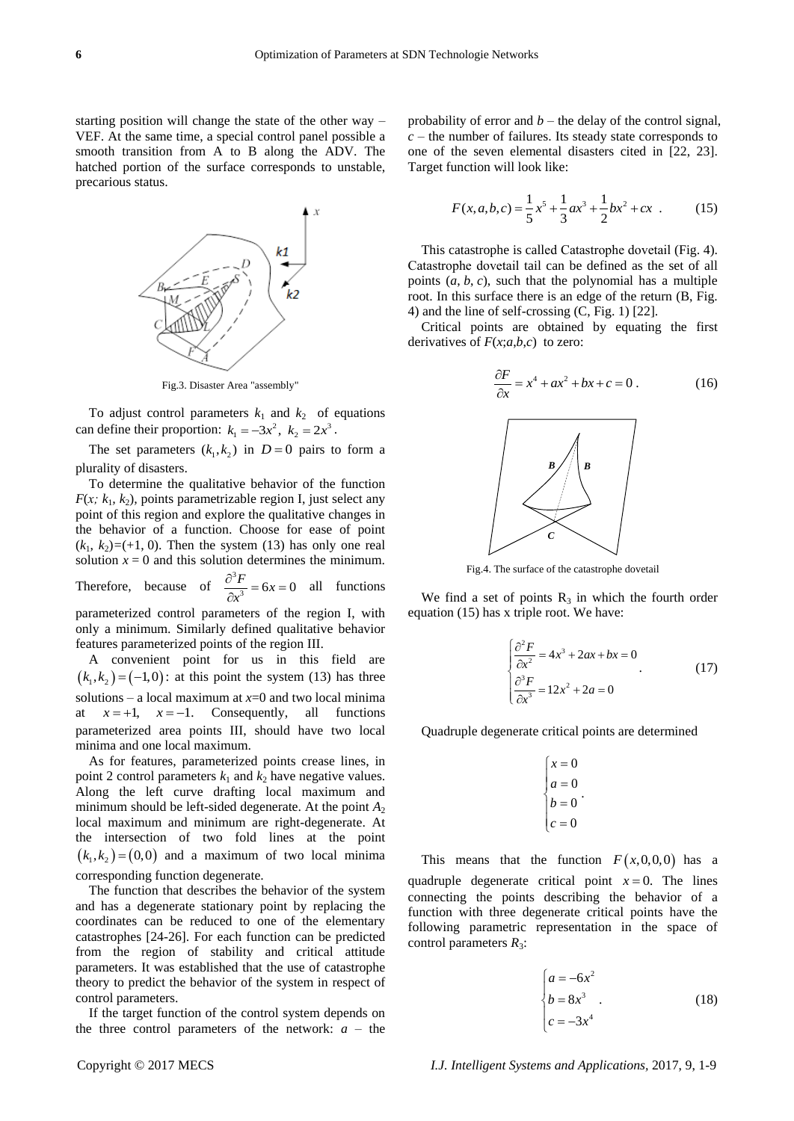starting position will change the state of the other way – VEF. At the same time, a special control panel possible a smooth transition from A to B along the ADV. The hatched portion of the surface corresponds to unstable, precarious status.



Fig.3. Disaster Area "assembly"

To adjust control parameters  $k_1$  and  $k_2$  of equations can define their proportion:  $k_1 = -3x^2$ ,  $k_2 = 2x^3$ .

The set parameters  $(k_1, k_2)$  in  $D = 0$  pairs to form a plurality of disasters.

To determine the qualitative behavior of the function  $F(x; k_1, k_2)$ , points parametrizable region I, just select any point of this region and explore the qualitative changes in the behavior of a function. Choose for ease of point  $(k_1, k_2) = (+1, 0)$ . Then the system (13) has only one real solution  $x = 0$  and this solution determines the minimum. Therefore, because of  $\frac{\partial^3}{\partial x^2}$  $\frac{3F}{x^3} = 6x = 0$  $\frac{\partial^3 F}{\partial x^3} = 6x = 0$  all functions

parameterized control parameters of the region I, with only a minimum. Similarly defined qualitative behavior features parameterized points of the region III.

A convenient point for us in this field are  $(k_1, k_2) = (-1,0)$ : at this point the system (13) has three solutions – a local maximum at  $x=0$  and two local minima at  $x = +1$ ,  $x = -1$ . Consequently, all functions parameterized area points III, should have two local minima and one local maximum.

As for features, parameterized points crease lines, in point 2 control parameters  $k_1$  and  $k_2$  have negative values. Along the left curve drafting local maximum and minimum should be left-sided degenerate. At the point *A*<sup>2</sup> local maximum and minimum are right-degenerate. At the intersection of two fold lines at the point  $(k_1, k_2) = (0, 0)$  and a maximum of two local minima corresponding function degenerate.

The function that describes the behavior of the system and has a degenerate stationary point by replacing the coordinates can be reduced to one of the elementary catastrophes [24-26]. For each function can be predicted from the region of stability and critical attitude parameters. It was established that the use of catastrophe theory to predict the behavior of the system in respect of control parameters.

If the target function of the control system depends on the three control parameters of the network:  $a -$  the probability of error and *b* – the delay of the control signal, *c* – the number of failures. Its steady state corresponds to one of the seven elemental disasters cited in [22, 23]. Target function will look like:

$$
F(x, a, b, c) = \frac{1}{5}x^5 + \frac{1}{3}ax^3 + \frac{1}{2}bx^2 + cx
$$
 (15)

This catastrophe is called Сatastrophe dovetail (Fig. 4). Сatastrophe dovetail tail can be defined as the set of all points  $(a, b, c)$ , such that the polynomial has a multiple root. In this surface there is an edge of the return (B, Fig. 4) and the line of self-crossing (C, Fig. 1) [22].

Critical points are obtained by equating the first derivatives of  $F(x;a,b,c)$  to zero:

$$
\frac{\partial F}{\partial x} = x^4 + ax^2 + bx + c = 0.
$$
 (16)



Fig.4. The surface of the catastrophe dovetail

We find a set of points  $R_3$  in which the fourth order equation (15) has x triple root. We have:

$$
\begin{cases}\n\frac{\partial^2 F}{\partial x^2} = 4x^3 + 2ax + bx = 0\\
\frac{\partial^3 F}{\partial x^3} = 12x^2 + 2a = 0\n\end{cases}
$$
\n(17)

Quadruple degenerate critical points are determined

$$
\begin{cases}\nx = 0 \\
a = 0 \\
b = 0 \\
c = 0\n\end{cases}
$$

This means that the function  $F(x,0,0,0)$  has a quadruple degenerate critical point  $x = 0$ . The lines connecting the points describing the behavior of a function with three degenerate critical points have the following parametric representation in the space of control parameters  $R_3$ :

$$
\begin{cases}\na = -6x^2 \\
b = 8x^3 \\
c = -3x^4\n\end{cases}
$$
\n(18)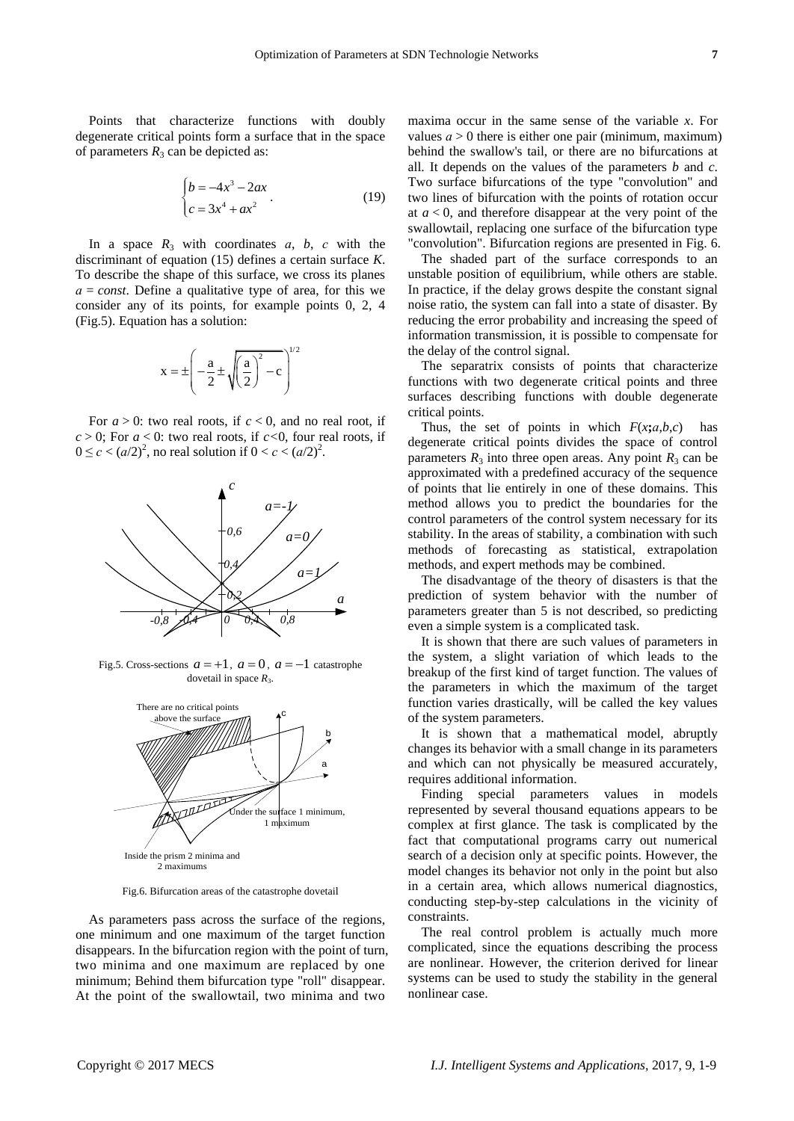Points that characterize functions with doubly degenerate critical points form a surface that in the space of parameters  $R_3$  can be depicted as:

$$
\begin{cases}\nb = -4x^3 - 2ax \\
c = 3x^4 + ax^2\n\end{cases}.
$$
\n(19)

In a space  $R_3$  with coordinates *a*, *b*, *c* with the discriminant of equation (15) defines a certain surface *K*. To describe the shape of this surface, we cross its planes *а = const*. Define a qualitative type of area, for this we consider any of its points, for example points 0, 2, 4 (Fig.5). Equation has a solution:

$$
x = \pm \left(-\frac{a}{2} \pm \sqrt{\left(\frac{a}{2}\right)^2 - c}\right)^{1/2}
$$

For  $a > 0$ : two real roots, if  $c < 0$ , and no real root, if  $c > 0$ ; For  $a < 0$ : two real roots, if  $c < 0$ , four real roots, if  $0 \le c < (a/2)^2$ , no real solution if  $0 < c < (a/2)^2$ .



Fig.5. Cross-sections  $a = +1$ ,  $a = 0$ ,  $a = -1$  catastrophe dovetail in space  $R_3$ .



Fig.6. Bifurcation areas of the catastrophe dovetail

As parameters pass across the surface of the regions, one minimum and one maximum of the target function disappears. In the bifurcation region with the point of turn, two minima and one maximum are replaced by one minimum; Behind them bifurcation type "roll" disappear. At the point of the swallowtail, two minima and two

maxima occur in the same sense of the variable *x*. For values  $a > 0$  there is either one pair (minimum, maximum) behind the swallow's tail, or there are no bifurcations at all. It depends on the values of the parameters *b* and *c*. Two surface bifurcations of the type "convolution" and two lines of bifurcation with the points of rotation occur at  $a < 0$ , and therefore disappear at the very point of the swallowtail, replacing one surface of the bifurcation type "convolution". Bifurcation regions are presented in Fig. 6.

The shaded part of the surface corresponds to an unstable position of equilibrium, while others are stable. In practice, if the delay grows despite the constant signal noise ratio, the system can fall into a state of disaster. By reducing the error probability and increasing the speed of information transmission, it is possible to compensate for the delay of the control signal.

The separatrix consists of points that characterize functions with two degenerate critical points and three surfaces describing functions with double degenerate critical points.

Thus, the set of points in which  $F(x; a, b, c)$  has degenerate critical points divides the space of control parameters  $R_3$  into three open areas. Any point  $R_3$  can be approximated with a predefined accuracy of the sequence of points that lie entirely in one of these domains. This method allows you to predict the boundaries for the control parameters of the control system necessary for its stability. In the areas of stability, a combination with such methods of forecasting as statistical, extrapolation methods, and expert methods may be combined.

The disadvantage of the theory of disasters is that the prediction of system behavior with the number of parameters greater than 5 is not described, so predicting even a simple system is a complicated task.

It is shown that there are such values of parameters in the system, a slight variation of which leads to the breakup of the first kind of target function. The values of the parameters in which the maximum of the target function varies drastically, will be called the key values of the system parameters.

It is shown that a mathematical model, abruptly changes its behavior with a small change in its parameters and which can not physically be measured accurately, requires additional information.

Finding special parameters values in models represented by several thousand equations appears to be complex at first glance. The task is complicated by the fact that computational programs carry out numerical search of a decision only at specific points. However, the model changes its behavior not only in the point but also in a certain area, which allows numerical diagnostics, conducting step-by-step calculations in the vicinity of constraints.

The real control problem is actually much more complicated, since the equations describing the process are nonlinear. However, the criterion derived for linear systems can be used to study the stability in the general nonlinear case.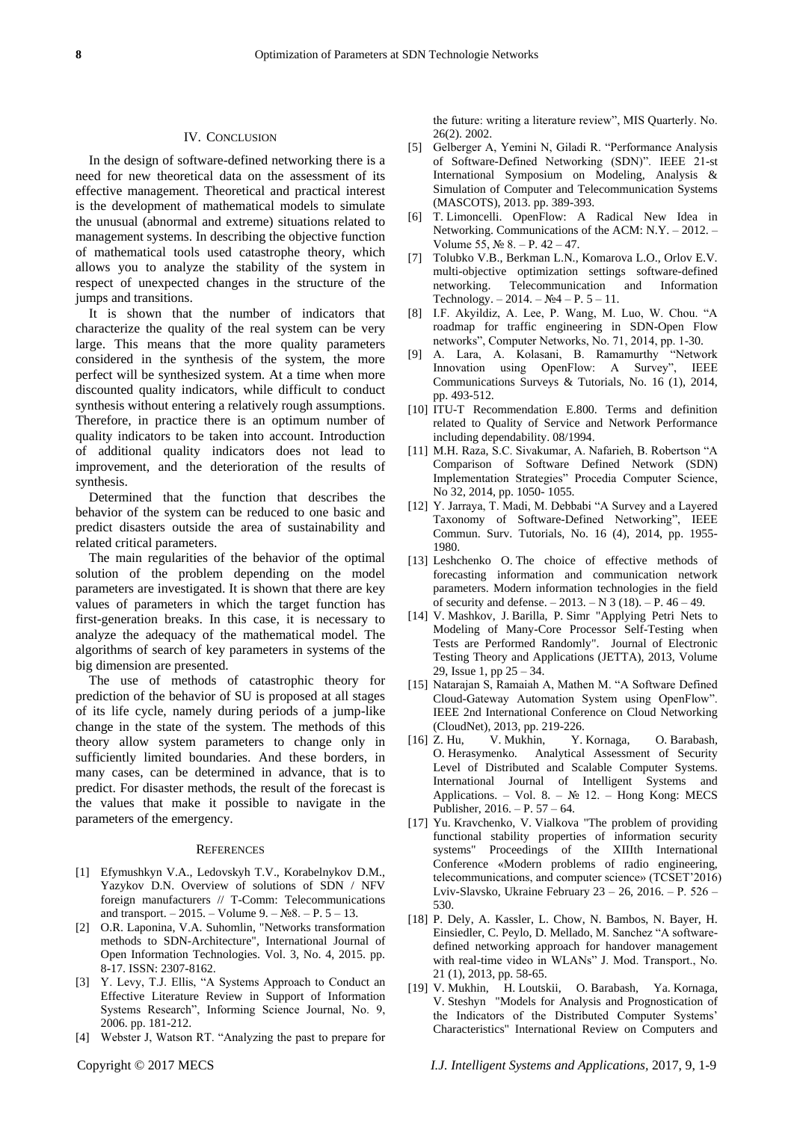## IV. CONCLUSION

In the design of software-defined networking there is a need for new theoretical data on the assessment of its effective management. Theoretical and practical interest is the development of mathematical models to simulate the unusual (abnormal and extreme) situations related to management systems. In describing the objective function of mathematical tools used catastrophe theory, which allows you to analyze the stability of the system in respect of unexpected changes in the structure of the jumps and transitions.

It is shown that the number of indicators that characterize the quality of the real system can be very large. This means that the more quality parameters considered in the synthesis of the system, the more perfect will be synthesized system. At a time when more discounted quality indicators, while difficult to conduct synthesis without entering a relatively rough assumptions. Therefore, in practice there is an optimum number of quality indicators to be taken into account. Introduction of additional quality indicators does not lead to improvement, and the deterioration of the results of synthesis.

Determined that the function that describes the behavior of the system can be reduced to one basic and predict disasters outside the area of sustainability and related critical parameters.

The main regularities of the behavior of the optimal solution of the problem depending on the model parameters are investigated. It is shown that there are key values of parameters in which the target function has first-generation breaks. In this case, it is necessary to analyze the adequacy of the mathematical model. The algorithms of search of key parameters in systems of the big dimension are presented.

The use of methods of catastrophic theory for prediction of the behavior of SU is proposed at all stages of its life cycle, namely during periods of a jump-like change in the state of the system. The methods of this theory allow system parameters to change only in sufficiently limited boundaries. And these borders, in many cases, can be determined in advance, that is to predict. For disaster methods, the result of the forecast is the values that make it possible to navigate in the parameters of the emergency.

#### **REFERENCES**

- [1] Efymushkyn V.A., Ledovskyh T.V., Korabelnykov D.M., Yazykov D.N. Overview of solutions of SDN / NFV foreign manufacturers // T-Comm: Telecommunications and transport.  $-2015. -$  Volume  $9. -$  No $8. -$  P.  $5 - 13.$
- [2] O.R. Laponina, V.A. Suhomlin, "Networks transformation methods to SDN-Architecture", International Journal of Open Information Technologies. Vol. 3, No. 4, 2015. pp. 8-17. ISSN: 2307-8162.
- [3] Y. Levy, T.J. Ellis, "A Systems Approach to Conduct an Effective Literature Review in Support of Information Systems Research", Informing Science Journal, No. 9, 2006. pp. 181-212.
- [4] Webster J, Watson RT. "Analyzing the past to prepare for

26(2). 2002. [5] Gelberger A, Yemini N, Giladi R. "Performance Analysis

of Software-Defined Networking (SDN)". IEEE 21-st International Symposium on Modeling, Analysis & Simulation of Computer and Telecommunication Systems (MASCOTS), 2013. pp. 389-393.

the future: writing a literature review", MIS Quarterly. No.

- [6] T. Limoncelli. OpenFlow: A Radical New Idea in Networking. Communications of the ACM: N.Y. – 2012. – Volume 55, № 8. – P. 42 – 47.
- [7] Tolubko V.B., Berkman L.N., Komarova L.O., Orlov E.V. multi-objective optimization settings software-defined networking. Telecommunication and Information Technology. – 2014. –  $N_24$  – P. 5 – 11.
- [8] I.F. Akyildiz, A. Lee, P. Wang, M. Luo, W. Chou. "A roadmap for traffic engineering in SDN-Open Flow networks", Computer Networks, No. 71, 2014, pp. 1-30.
- [9] A. Lara, A. Kolasani, B. Ramamurthy "Network Innovation using OpenFlow: A Survey", IEEE Communications Surveys & Tutorials, No. 16 (1), 2014, pp. 493-512.
- [10] ITU-T Recommendation E.800. Terms and definition related to Quality of Service and Network Performance including dependability. 08/1994.
- [11] M.H. Raza, S.C. Sivakumar, A. Nafarieh, B. Robertson "A Comparison of Software Defined Network (SDN) Implementation Strategies" Procedia Computer Science, No 32, 2014, pp. 1050- 1055.
- [12] Y. Jarraya, T. Madi, M. Debbabi "A Survey and a Layered Taxonomy of Software-Defined Networking", IEEE Commun. Surv. Tutorials, No. 16 (4), 2014, pp. 1955- 1980.
- [13] Leshchenko O. The choice of effective methods of forecasting information and communication network parameters. Modern information technologies in the field of security and defense. – 2013. – N 3 (18). – P. 46 – 49.
- [14] V. Mashkov, J. Barilla, P. Simr "Applying Petri Nets to Modeling of Many-Core Processor Self-Testing when Tests are Performed Randomly". Journal of Electronic Testing Theory and Applications (JETTA), 2013, Volume 29, Issue 1, pp 25 – 34.
- [15] Natarajan S, Ramaiah A, Mathen M. "A Software Defined Cloud-Gateway Automation System using OpenFlow". IEEE 2nd International Conference on Cloud Networking (CloudNet), 2013, pp. 219-226.
- [16] Z. Hu, V. Mukhin, Y. Kornaga, O. Barabash, O. Herasymenko. Analytical Assessment of Security Level of Distributed and Scalable Computer Systems. International Journal of Intelligent Systems and Applications. – Vol. 8. –  $\mathbb{N}_2$  12. – Hong Kong: MECS Publisher, 2016. – P. 57 – 64.
- [17] Yu. Kravchenko, V. Vialkova "The problem of providing functional stability properties of information security systems" Proceedings of the XIIIth International Conference «Modern problems of radio engineering, telecommunications, and computer science» (TCSET'2016) Lviv-Slavsko, Ukraine February 23 – 26, 2016. – Р. 526 – 530.
- [18] P. Dely, A. Kassler, L. Chow, N. Bambos, N. Bayer, H. Einsiedler, C. Peylo, D. Mellado, M. Sanchez "A softwaredefined networking approach for handover management with real-time video in WLANs" J. Mod. Transport., No. 21 (1), 2013, pp. 58-65.
- [19] V. Mukhin, H. Loutskii, O. Barabash, Ya. Kornaga, V. Steshyn "Models for Analysis and Prognostication of the Indicators of the Distributed Computer Systems' Characteristics" International Review on Computers and

Copyright © 2017 MECS *I.J. Intelligent Systems and Applications,* 2017, 9, 1-9